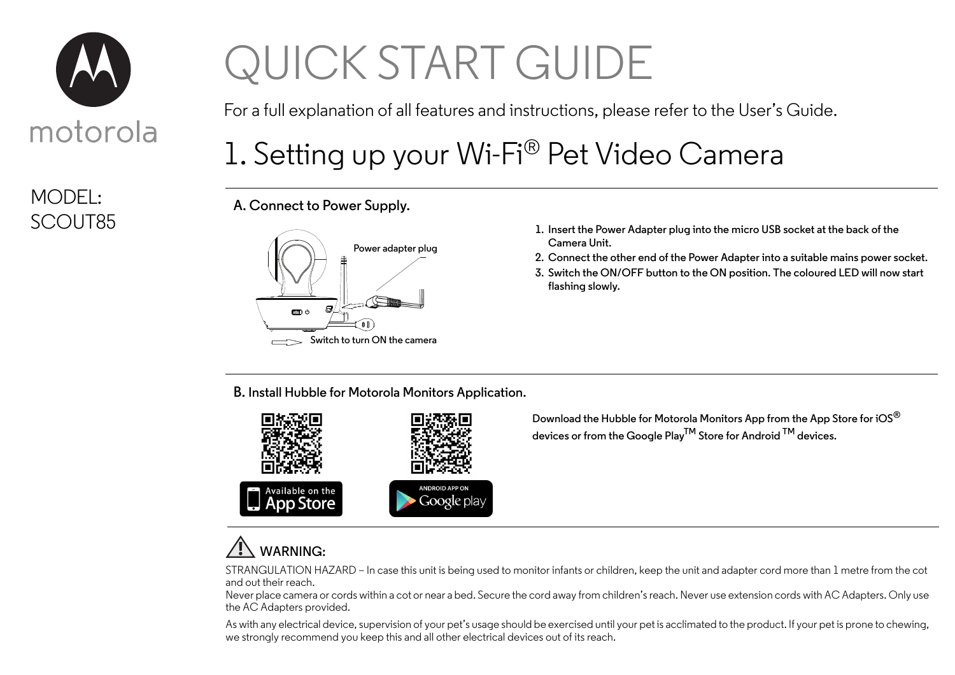

## MODEL:

# QUICK START GUIDE

For a full explanation of all features and instructions, please refer to the User's Guide.

### 1. Setting up your Wi-Fi® Pet Video Camera

**A. Connect to Power Supply.**



- SCOUT85 **1. Insert the Power Adapter plug into the micro USB socket at the back of the Camera Unit.**
	- **2. Connect the other end of the Power Adapter into a suitable mains power socket.**
	- **3. Switch the ON/OFF button to the ON position. The coloured LED will now start flashing slowly.**

**B. Install Hubble for Motorola Monitors Application.**



**Download the Hubble for Motorola Monitors App from the App Store for iOS® devices or from the Google PlayTM Store for Android TM devices.**

#### **WARNING:**

STRANGULATION HAZARD – In case this unit is being used to monitor infants or children, keep the unit and adapter cord more than 1 metre from the cot and out their reach.

Never place camera or cords within a cot or near a bed. Secure the cord away from children's reach. Never use extension cords with AC Adapters. Only use the AC Adapters provided.

As with any electrical device, supervision of your pet's usage should be exercised until your pet is acclimated to the product. If your pet is prone to chewing, we strongly recommend you keep this and all other electrical devices out of its reach.